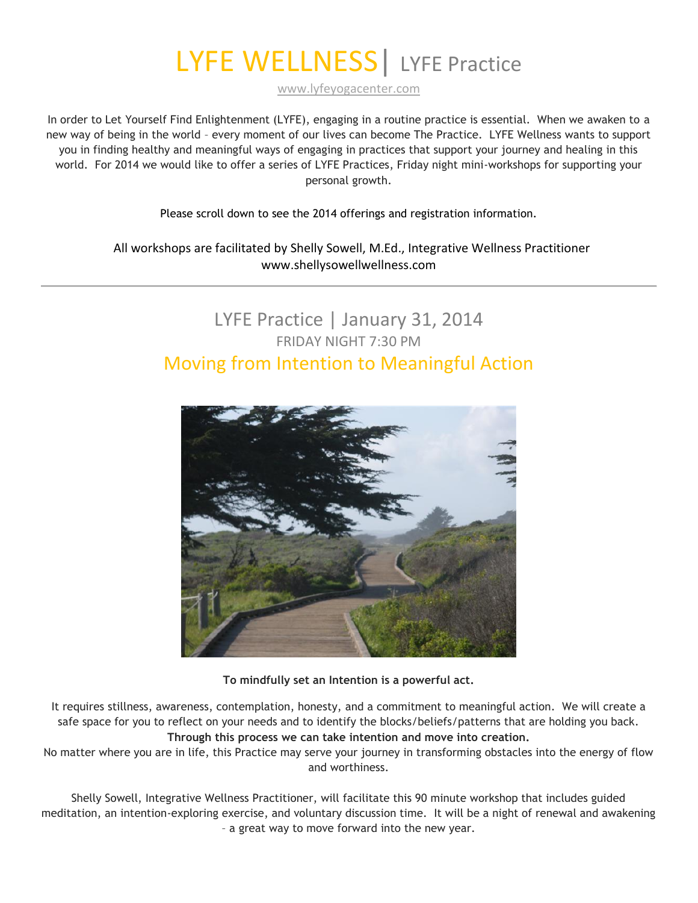# LYFE WELLNESS | LYFE Practice

[www.lyfeyogacenter.com](http://www.lyfeyogacenter.com/)

In order to Let Yourself Find Enlightenment (LYFE), engaging in a routine practice is essential. When we awaken to a new way of being in the world – every moment of our lives can become The Practice. LYFE Wellness wants to support you in finding healthy and meaningful ways of engaging in practices that support your journey and healing in this world. For 2014 we would like to offer a series of LYFE Practices, Friday night mini-workshops for supporting your personal growth.

Please scroll down to see the 2014 offerings and registration information.

All workshops are facilitated by Shelly Sowell, M.Ed., Integrative Wellness Practitioner www.shellysowellwellness.com

#### LYFE Practice | January 31, 2014 FRIDAY NIGHT 7:30 PM Moving from Intention to Meaningful Action



**To mindfully set an Intention is a powerful act.**

It requires stillness, awareness, contemplation, honesty, and a commitment to meaningful action. We will create a safe space for you to reflect on your needs and to identify the blocks/beliefs/patterns that are holding you back. **Through this process we can take intention and move into creation.**

No matter where you are in life, this Practice may serve your journey in transforming obstacles into the energy of flow and worthiness.

Shelly Sowell, Integrative Wellness Practitioner, will facilitate this 90 minute workshop that includes guided meditation, an intention-exploring exercise, and voluntary discussion time. It will be a night of renewal and awakening – a great way to move forward into the new year.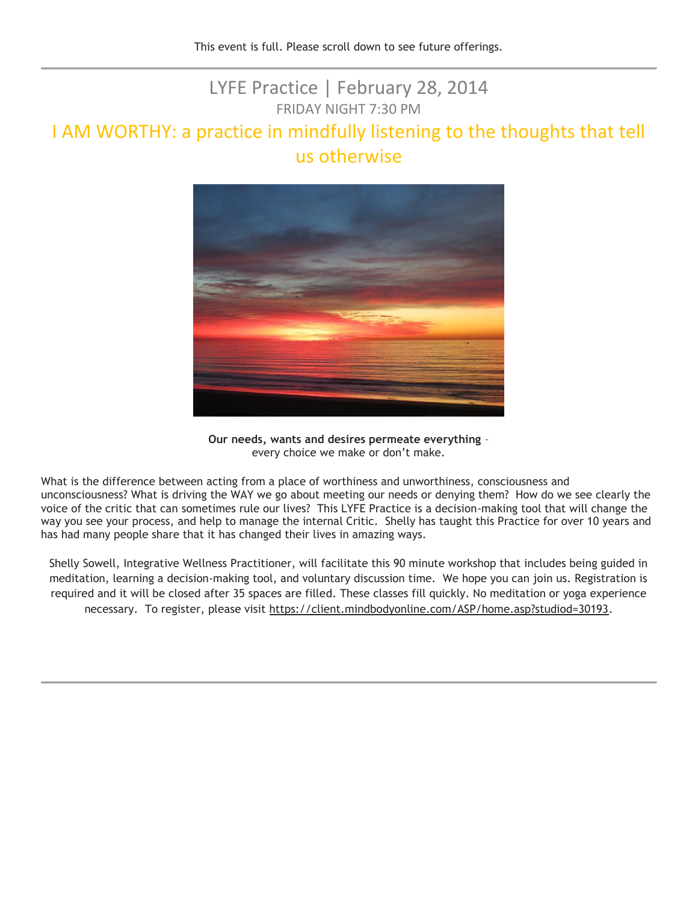#### LYFE Practice | February 28, 2014 FRIDAY NIGHT 7:30 PM

#### I AM WORTHY: a practice in mindfully listening to the thoughts that tell us otherwise



**Our needs, wants and desires permeate everything** – every choice we make or don't make.

What is the difference between acting from a place of worthiness and unworthiness, consciousness and unconsciousness? What is driving the WAY we go about meeting our needs or denying them? How do we see clearly the voice of the critic that can sometimes rule our lives? This LYFE Practice is a decision-making tool that will change the way you see your process, and help to manage the internal Critic. Shelly has taught this Practice for over 10 years and has had many people share that it has changed their lives in amazing ways.

Shelly Sowell, Integrative Wellness Practitioner, will facilitate this 90 minute workshop that includes being guided in meditation, learning a decision-making tool, and voluntary discussion time. We hope you can join us. Registration is required and it will be closed after 35 spaces are filled. These classes fill quickly. No meditation or yoga experience necessary. To register, please visit [https://client.mindbodyonline.com/ASP/home.asp?studiod=30193.](https://client.mindbodyonline.com/ASP/home.asp?studiod=30193)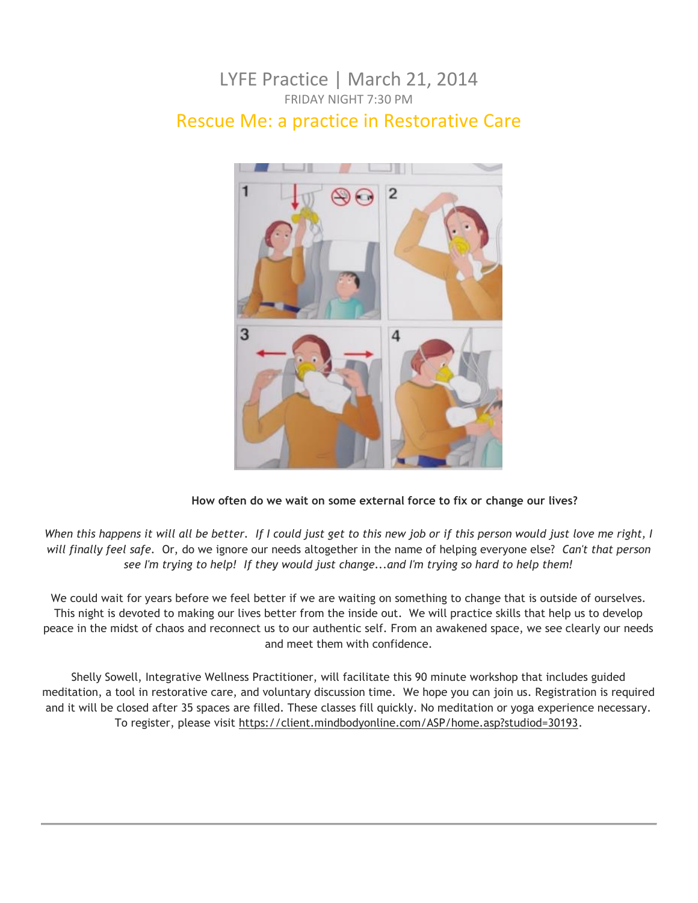#### LYFE Practice | March 21, 2014 FRIDAY NIGHT 7:30 PM Rescue Me: a practice in Restorative Care



#### **How often do we wait on some external force to fix or change our lives?**

*When this happens it will all be better. If I could just get to this new job or if this person would just love me right, I will finally feel safe.* Or, do we ignore our needs altogether in the name of helping everyone else? *Can't that person see I'm trying to help! If they would just change...and I'm trying so hard to help them!*

We could wait for years before we feel better if we are waiting on something to change that is outside of ourselves. This night is devoted to making our lives better from the inside out. We will practice skills that help us to develop peace in the midst of chaos and reconnect us to our authentic self. From an awakened space, we see clearly our needs and meet them with confidence.

Shelly Sowell, Integrative Wellness Practitioner, will facilitate this 90 minute workshop that includes guided meditation, a tool in restorative care, and voluntary discussion time. We hope you can join us. Registration is required and it will be closed after 35 spaces are filled. These classes fill quickly. No meditation or yoga experience necessary. To register, please visit [https://client.mindbodyonline.com/ASP/home.asp?studiod=30193.](https://client.mindbodyonline.com/ASP/home.asp?studiod=30193)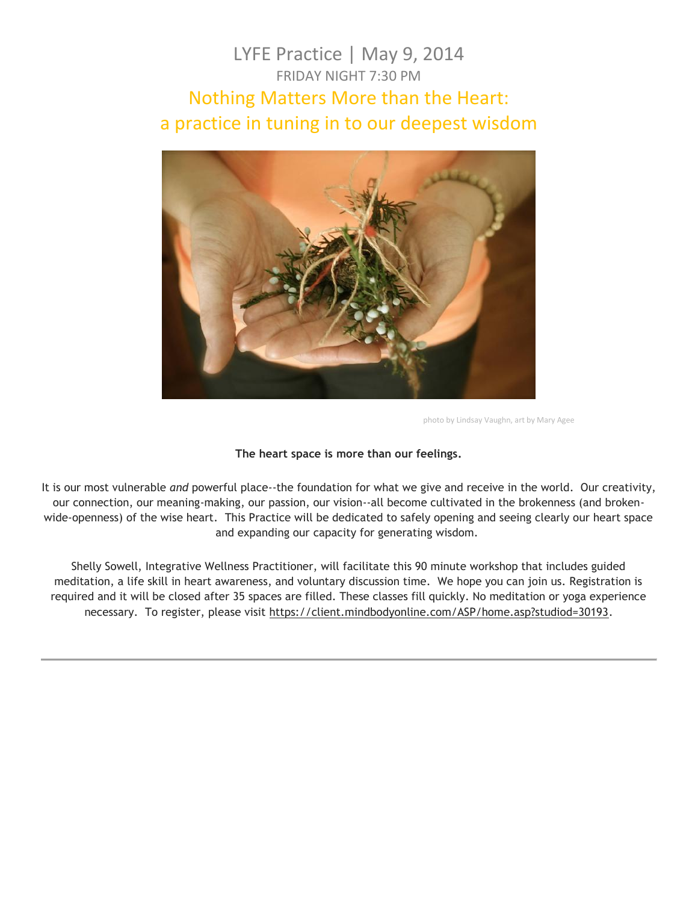#### LYFE Practice | May 9, 2014 FRIDAY NIGHT 7:30 PM Nothing Matters More than the Heart: a practice in tuning in to our deepest wisdom



photo by Lindsay Vaughn, art by Mary Agee

#### **The heart space is more than our feelings.**

It is our most vulnerable *and* powerful place--the foundation for what we give and receive in the world. Our creativity, our connection, our meaning-making, our passion, our vision--all become cultivated in the brokenness (and brokenwide-openness) of the wise heart. This Practice will be dedicated to safely opening and seeing clearly our heart space and expanding our capacity for generating wisdom.

Shelly Sowell, Integrative Wellness Practitioner, will facilitate this 90 minute workshop that includes guided meditation, a life skill in heart awareness, and voluntary discussion time. We hope you can join us. Registration is required and it will be closed after 35 spaces are filled. These classes fill quickly. No meditation or yoga experience necessary. To register, please visit [https://client.mindbodyonline.com/ASP/home.asp?studiod=30193.](https://client.mindbodyonline.com/ASP/home.asp?studiod=30193)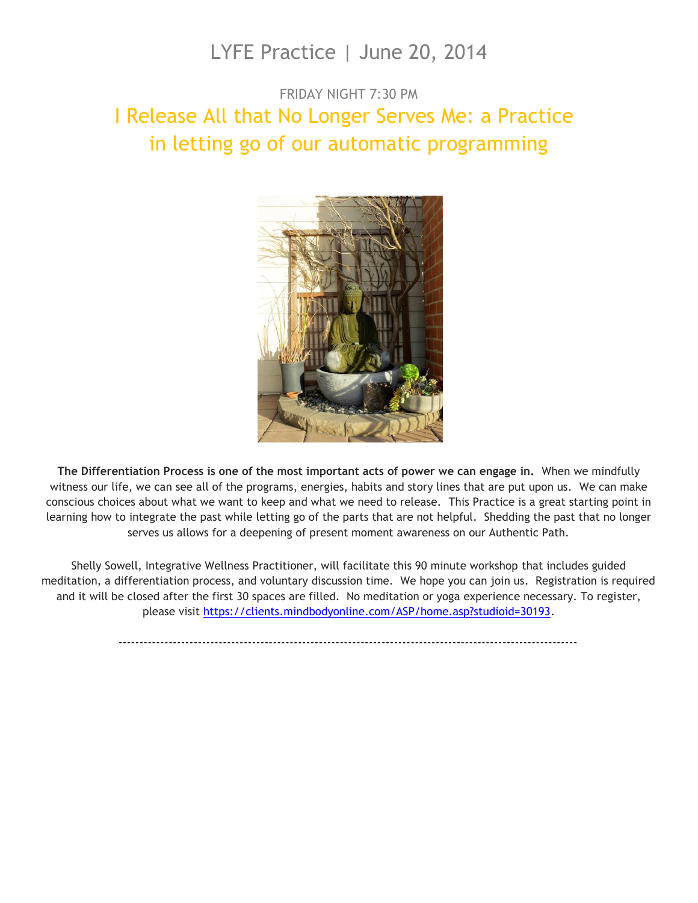### LYFE Practice | June 20, 2014

### FRIDAY NIGHT 7:30 PM I Release All that No Longer Serves Me: a Practice in letting go of our automatic programming



**The Differentiation Process is one of the most important acts of power we can engage in.** When we mindfully witness our life, we can see all of the programs, energies, habits and story lines that are put upon us. We can make conscious choices about what we want to keep and what we need to release. This Practice is a great starting point in learning how to integrate the past while letting go of the parts that are not helpful. Shedding the past that no longer serves us allows for a deepening of present moment awareness on our Authentic Path.

Shelly Sowell, Integrative Wellness Practitioner, will facilitate this 90 minute workshop that includes guided meditation, a differentiation process, and voluntary discussion time. We hope you can join us. Registration is required and it will be closed after the first 30 spaces are filled. No meditation or yoga experience necessary. To register, please visit [https://clients.mindbodyonline.com/ASP/home.asp?studioid=30193.](https://clients.mindbodyonline.com/ASP/home.asp?studioid=30193)

--------------------------------------------------------------------------------------------------------------